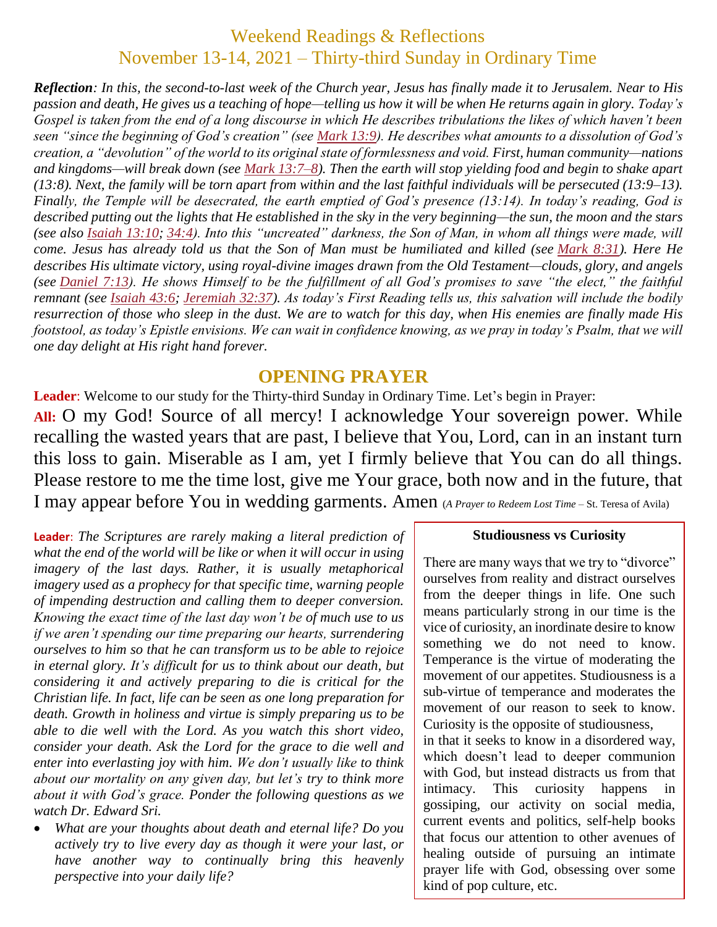## Weekend Readings & Reflections November 13-14, 2021 – Thirty-third Sunday in Ordinary Time

*Reflection: In this, the second-to-last week of the Church year, Jesus has finally made it to Jerusalem. Near to His passion and death, He gives us a teaching of hope—telling us how it will be when He returns again in glory. Today's Gospel is taken from the end of a long discourse in which He describes tribulations the likes of which haven't been seen "since the beginning of God's creation" (see [Mark](https://biblia.com/bible/rsvce/Mark%2013.9) 13:9). He describes what amounts to a dissolution of God's creation, a "devolution" of the world to its original state of formlessness and void. First, human community—nations and kingdoms—will break down (see Mark [13:7–8\)](https://biblia.com/bible/rsvce/Mark%2013.7%E2%80%938). Then the earth will stop yielding food and begin to shake apart (13:8). Next, the family will be torn apart from within and the last faithful individuals will be persecuted (13:9–13). Finally, the Temple will be desecrated, the earth emptied of God's presence (13:14). In today's reading, God is described putting out the lights that He established in the sky in the very beginning—the sun, the moon and the stars (see also Isaiah [13:10;](https://biblia.com/bible/rsvce/Isa%2013.10) [34:4\)](https://biblia.com/bible/rsvce/Isaiah%2034.4). Into this "uncreated" darkness, the Son of Man, in whom all things were made, will come. Jesus has already told us that the Son of Man must be humiliated and killed (see [Mark](https://biblia.com/bible/rsvce/Mark%208.31) 8:31). Here He describes His ultimate victory, using royal-divine images drawn from the Old Testament—clouds, glory, and angels (see [Daniel](https://biblia.com/bible/rsvce/Dan%207.13) 7:13). He shows Himself to be the fulfillment of all God's promises to save "the elect," the faithful remnant (see [Isaiah](https://biblia.com/bible/rsvce/Isa%2043.6) 43:6; [Jeremiah](https://biblia.com/bible/rsvce/Jer%2032.37) 32:37). As today's First Reading tells us, this salvation will include the bodily resurrection of those who sleep in the dust. We are to watch for this day, when His enemies are finally made His footstool, as today's Epistle envisions. We can wait in confidence knowing, as we pray in today's Psalm, that we will one day delight at His right hand forever.*

### **OPENING PRAYER**

**Leader**: Welcome to our study for the Thirty-third Sunday in Ordinary Time. Let's begin in Prayer: **All:** O my God! Source of all mercy! I acknowledge Your sovereign power. While recalling the wasted years that are past, I believe that You, Lord, can in an instant turn this loss to gain. Miserable as I am, yet I firmly believe that You can do all things. Please restore to me the time lost, give me Your grace, both now and in the future, that I may appear before You in wedding garments. Amen (*A Prayer to Redeem Lost Time* – St. Teresa of Avila)

**Leader**: *The Scriptures are rarely making a literal prediction of what the end of the world will be like or when it will occur in using imagery of the last days. Rather, it is usually metaphorical imagery used as a prophecy for that specific time, warning people of impending destruction and calling them to deeper conversion. Knowing the exact time of the last day won't be of much use to us if we aren't spending our time preparing our hearts, surrendering ourselves to him so that he can transform us to be able to rejoice in eternal glory. It's difficult for us to think about our death, but considering it and actively preparing to die is critical for the Christian life. In fact, life can be seen as one long preparation for death. Growth in holiness and virtue is simply preparing us to be able to die well with the Lord. As you watch this short video, consider your death. Ask the Lord for the grace to die well and enter into everlasting joy with him. We don't usually like to think about our mortality on any given day, but let's try to think more about it with God's grace. Ponder the following questions as we watch Dr. Edward Sri.*

 *What are your thoughts about death and eternal life? Do you actively try to live every day as though it were your last, or have another way to continually bring this heavenly perspective into your daily life?*

#### **Studiousness vs Curiosity**

There are many ways that we try to "divorce" ourselves from reality and distract ourselves from the deeper things in life. One such means particularly strong in our time is the vice of curiosity, an inordinate desire to know something we do not need to know. Temperance is the virtue of moderating the movement of our appetites. Studiousness is a sub-virtue of temperance and moderates the movement of our reason to seek to know. Curiosity is the opposite of studiousness, in that it seeks to know in a disordered way, which doesn't lead to deeper communion with God, but instead distracts us from that intimacy. This curiosity happens in gossiping, our activity on social media,

current events and politics, self-help books that focus our attention to other avenues of healing outside of pursuing an intimate prayer life with God, obsessing over some kind of pop culture, etc.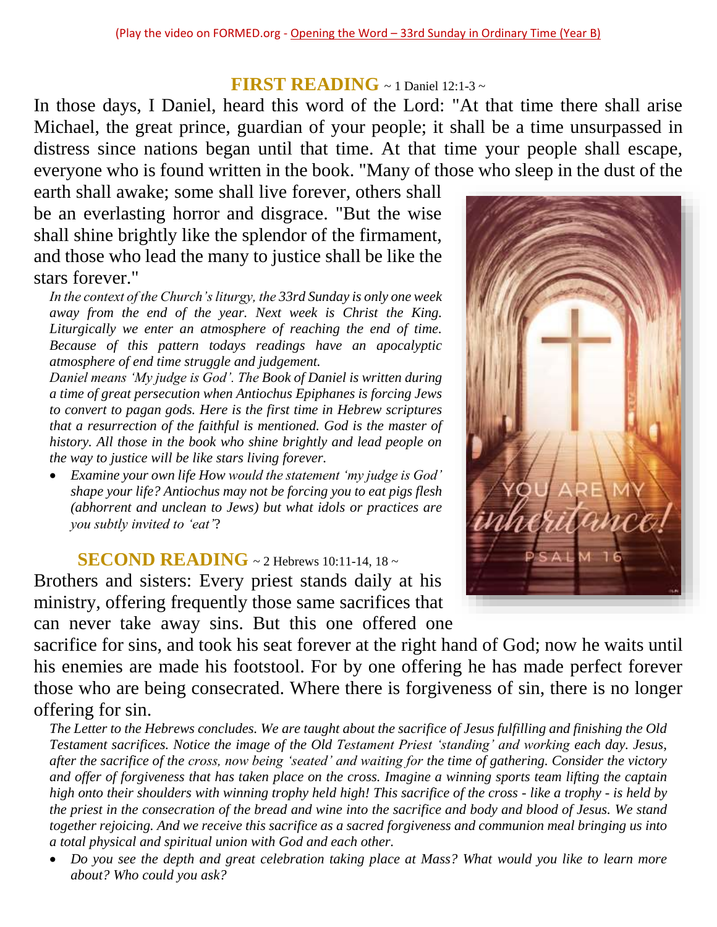### **FIRST READING** ~ 1 Daniel 12:1-3 ~

In those days, I Daniel, heard this word of the Lord: "At that time there shall arise Michael, the great prince, guardian of your people; it shall be a time unsurpassed in distress since nations began until that time. At that time your people shall escape, everyone who is found written in the book. "Many of those who sleep in the dust of the

earth shall awake; some shall live forever, others shall be an everlasting horror and disgrace. "But the wise shall shine brightly like the splendor of the firmament, and those who lead the many to justice shall be like the stars forever."

*In the context of the Church's liturgy, the 33rd Sunday is only one week away from the end of the year. Next week is Christ the King. Liturgically we enter an atmosphere of reaching the end of time. Because of this pattern todays readings have an apocalyptic atmosphere of end time struggle and judgement.*

*Daniel means 'My judge is God'. The Book of Daniel is written during a time of great persecution when Antiochus Epiphanes is forcing Jews to convert to pagan gods. Here is the first time in Hebrew scriptures that a resurrection of the faithful is mentioned. God is the master of history. All those in the book who shine brightly and lead people on the way to justice will be like stars living forever.*

 *Examine your own life How would the statement 'my judge is God' shape your life? Antiochus may not be forcing you to eat pigs flesh (abhorrent and unclean to Jews) but what idols or practices are you subtly invited to 'eat'*?

**SECOND READING** ~ 2 Hebrews 10:11-14, 18 ~ Brothers and sisters: Every priest stands daily at his

ministry, offering frequently those same sacrifices that can never take away sins. But this one offered one

sacrifice for sins, and took his seat forever at the right hand of God; now he waits until his enemies are made his footstool. For by one offering he has made perfect forever those who are being consecrated. Where there is forgiveness of sin, there is no longer offering for sin.

*The Letter to the Hebrews concludes. We are taught about the sacrifice of Jesus fulfilling and finishing the Old Testament sacrifices. Notice the image of the Old Testament Priest 'standing' and working each day. Jesus, after the sacrifice of the cross, now being 'seated' and waiting for the time of gathering. Consider the victory and offer of forgiveness that has taken place on the cross. Imagine a winning sports team lifting the captain high onto their shoulders with winning trophy held high! This sacrifice of the cross - like a trophy - is held by the priest in the consecration of the bread and wine into the sacrifice and body and blood of Jesus. We stand together rejoicing. And we receive this sacrifice as a sacred forgiveness and communion meal bringing us into a total physical and spiritual union with God and each other.*

 *Do you see the depth and great celebration taking place at Mass? What would you like to learn more about? Who could you ask?*

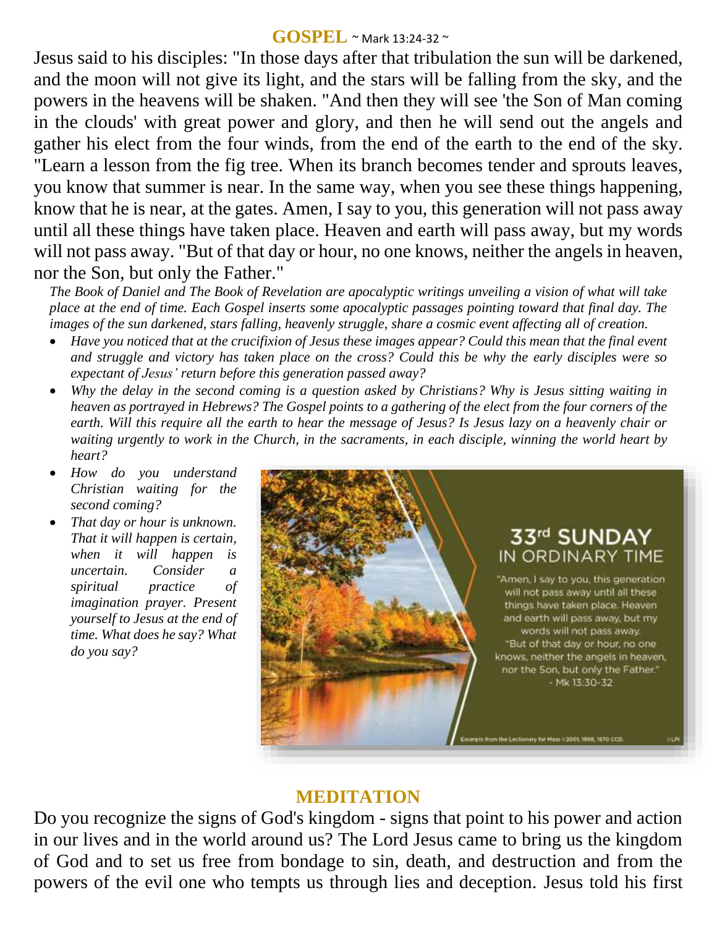#### **GOSPEL** ~ Mark 13:24-32 <sup>~</sup>

Jesus said to his disciples: "In those days after that tribulation the sun will be darkened, and the moon will not give its light, and the stars will be falling from the sky, and the powers in the heavens will be shaken. "And then they will see 'the Son of Man coming in the clouds' with great power and glory, and then he will send out the angels and gather his elect from the four winds, from the end of the earth to the end of the sky. "Learn a lesson from the fig tree. When its branch becomes tender and sprouts leaves, you know that summer is near. In the same way, when you see these things happening, know that he is near, at the gates. Amen, I say to you, this generation will not pass away until all these things have taken place. Heaven and earth will pass away, but my words will not pass away. "But of that day or hour, no one knows, neither the angels in heaven, nor the Son, but only the Father."

*The Book of Daniel and The Book of Revelation are apocalyptic writings unveiling a vision of what will take place at the end of time. Each Gospel inserts some apocalyptic passages pointing toward that final day. The images of the sun darkened, stars falling, heavenly struggle, share a cosmic event affecting all of creation.* 

- *Have you noticed that at the crucifixion of Jesus these images appear? Could this mean that the final event and struggle and victory has taken place on the cross? Could this be why the early disciples were so expectant of Jesus' return before this generation passed away?*
- *Why the delay in the second coming is a question asked by Christians? Why is Jesus sitting waiting in heaven as portrayed in Hebrews? The Gospel points to a gathering of the elect from the four corners of the earth. Will this require all the earth to hear the message of Jesus? Is Jesus lazy on a heavenly chair or waiting urgently to work in the Church, in the sacraments, in each disciple, winning the world heart by heart?*
- *How do you understand Christian waiting for the second coming?*
- *That day or hour is unknown. That it will happen is certain, when it will happen is uncertain. Consider a spiritual practice of imagination prayer. Present yourself to Jesus at the end of time. What does he say? What do you say?*



### **MEDITATION**

Do you recognize the signs of God's kingdom - signs that point to his power and action in our lives and in the world around us? The Lord Jesus came to bring us the kingdom of God and to set us free from bondage to sin, death, and destruction and from the powers of the evil one who tempts us through lies and deception. Jesus told his first